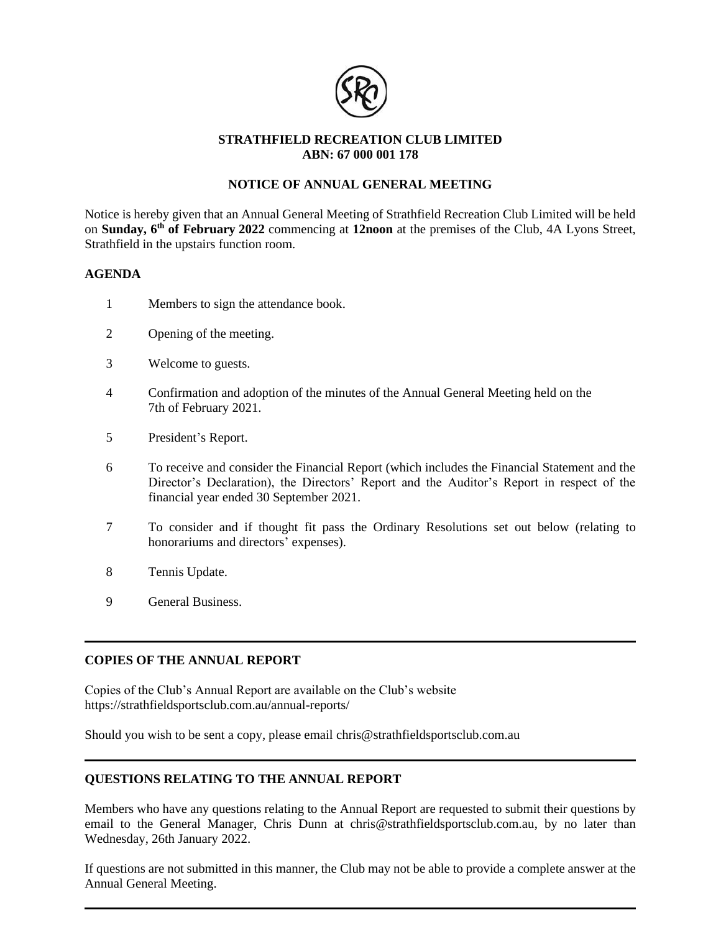

## **STRATHFIELD RECREATION CLUB LIMITED ABN: 67 000 001 178**

# **NOTICE OF ANNUAL GENERAL MEETING**

Notice is hereby given that an Annual General Meeting of Strathfield Recreation Club Limited will be held on **Sunday, 6 th of February 2022** commencing at **12noon** at the premises of the Club, 4A Lyons Street, Strathfield in the upstairs function room.

### **AGENDA**

- 1 Members to sign the attendance book.
- 2 Opening of the meeting.
- 3 Welcome to guests.
- 4 Confirmation and adoption of the minutes of the Annual General Meeting held on the 7th of February 2021.
- 5 President's Report.
- 6 To receive and consider the Financial Report (which includes the Financial Statement and the Director's Declaration), the Directors' Report and the Auditor's Report in respect of the financial year ended 30 September 2021.
- 7 To consider and if thought fit pass the Ordinary Resolutions set out below (relating to honorariums and directors' expenses).
- 8 Tennis Update.
- 9 General Business.

## **COPIES OF THE ANNUAL REPORT**

Copies of the Club's Annual Report are available on the Club's website https://strathfieldsportsclub.com.au/annual-reports/

Should you wish to be sent a copy, please email chris@strathfieldsportsclub.com.au

## **QUESTIONS RELATING TO THE ANNUAL REPORT**

Members who have any questions relating to the Annual Report are requested to submit their questions by email to the General Manager, Chris Dunn at chris@strathfieldsportsclub.com.au, by no later than Wednesday, 26th January 2022.

If questions are not submitted in this manner, the Club may not be able to provide a complete answer at the Annual General Meeting.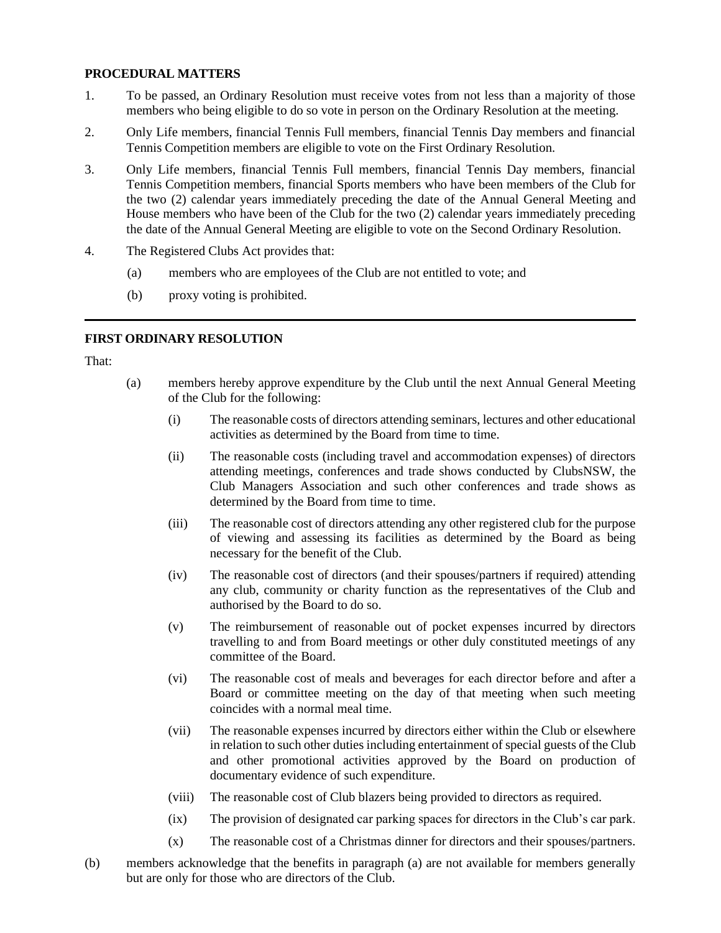### **PROCEDURAL MATTERS**

- 1. To be passed, an Ordinary Resolution must receive votes from not less than a majority of those members who being eligible to do so vote in person on the Ordinary Resolution at the meeting.
- 2. Only Life members, financial Tennis Full members, financial Tennis Day members and financial Tennis Competition members are eligible to vote on the First Ordinary Resolution.
- 3. Only Life members, financial Tennis Full members, financial Tennis Day members, financial Tennis Competition members, financial Sports members who have been members of the Club for the two (2) calendar years immediately preceding the date of the Annual General Meeting and House members who have been of the Club for the two (2) calendar years immediately preceding the date of the Annual General Meeting are eligible to vote on the Second Ordinary Resolution.
- 4. The Registered Clubs Act provides that:
	- (a) members who are employees of the Club are not entitled to vote; and
	- (b) proxy voting is prohibited.

## **FIRST ORDINARY RESOLUTION**

That:

- (a) members hereby approve expenditure by the Club until the next Annual General Meeting of the Club for the following:
	- (i) The reasonable costs of directors attending seminars, lectures and other educational activities as determined by the Board from time to time.
	- (ii) The reasonable costs (including travel and accommodation expenses) of directors attending meetings, conferences and trade shows conducted by ClubsNSW, the Club Managers Association and such other conferences and trade shows as determined by the Board from time to time.
	- (iii) The reasonable cost of directors attending any other registered club for the purpose of viewing and assessing its facilities as determined by the Board as being necessary for the benefit of the Club.
	- (iv) The reasonable cost of directors (and their spouses/partners if required) attending any club, community or charity function as the representatives of the Club and authorised by the Board to do so.
	- (v) The reimbursement of reasonable out of pocket expenses incurred by directors travelling to and from Board meetings or other duly constituted meetings of any committee of the Board.
	- (vi) The reasonable cost of meals and beverages for each director before and after a Board or committee meeting on the day of that meeting when such meeting coincides with a normal meal time.
	- (vii) The reasonable expenses incurred by directors either within the Club or elsewhere in relation to such other duties including entertainment of special guests of the Club and other promotional activities approved by the Board on production of documentary evidence of such expenditure.
	- (viii) The reasonable cost of Club blazers being provided to directors as required.
	- (ix) The provision of designated car parking spaces for directors in the Club's car park.
	- (x) The reasonable cost of a Christmas dinner for directors and their spouses/partners.
- (b) members acknowledge that the benefits in paragraph (a) are not available for members generally but are only for those who are directors of the Club.